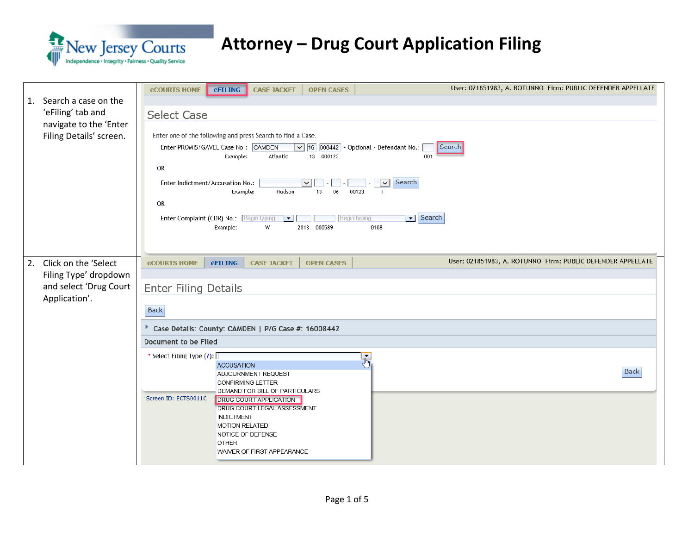

| Search a case on the<br>1.<br>'eFiling' tab and<br>navigate to the 'Enter<br>Filing Details' screen. | User: 021851983, A. ROTUNNO Firm: PUBLIC DEFENDER APPELLATE<br><b>eCOURTS HOME</b><br><b>eFILING</b><br><b>CASE JACKET</b><br><b>OPEN CASES</b><br><b>Select Case</b><br>Enter one of the following and press Search to find a Case.<br>Enter PROMIS/GAVEL Case No.: CAMDEN<br>$\boxed{\vee}$ 16 $\boxed{008442}$ - Optional - Defendant No.:<br>Search<br>Atlantic<br>13 000123<br>Example:<br>001<br>OR<br>Search<br>$\vert \vee \vert$<br>Enter Indictment/Accusation No.:<br>◡<br>Example:<br>Hudson<br>13<br>06<br>00123<br><b>OR</b><br>Search<br>$\overline{\phantom{a}}$<br>Enter Complaint (CDR) No.: Begin typing<br>Begin typing.<br>$\vert \cdot \vert$<br>2013 000589<br>Example:<br>W<br>0108 |
|------------------------------------------------------------------------------------------------------|-------------------------------------------------------------------------------------------------------------------------------------------------------------------------------------------------------------------------------------------------------------------------------------------------------------------------------------------------------------------------------------------------------------------------------------------------------------------------------------------------------------------------------------------------------------------------------------------------------------------------------------------------------------------------------------------------------------|
| 2. Click on the 'Select<br>Filing Type' dropdown<br>and select 'Drug Court<br>Application'.          | User: 021851983, A. ROTUNNO Firm: PUBLIC DEFENDER APPELLATE<br><b>OPEN CASES</b><br><b>eCOURTS HOME</b><br><b>eFILING</b><br><b>CASE JACKET</b><br><b>Enter Filing Details</b><br><b>Back</b><br>Case Details: County: CAMDEN   P/G Case #: 16008442<br>Document to be Filed<br>* Select Filing Type (?): [<br>$\mathbb{F}$<br><b>ACCUSATION</b><br><b>Back</b><br>ADJOURNMENT REQUEST<br><b>CONFIRMING LETTER</b><br>DEMAND FOR BILL OF PARTICULARS<br>Screen ID: ECTS0011C<br><b>DRUG COURT APPLICATION</b><br>DRUG COURT LEGAL ASSESSMENT<br><b>INDICTMENT</b><br><b>MOTION RELATED</b><br>NOTICE OF DEFENSE<br><b>OTHER</b><br>WAIVER OF FIRST APPEARANCE                                               |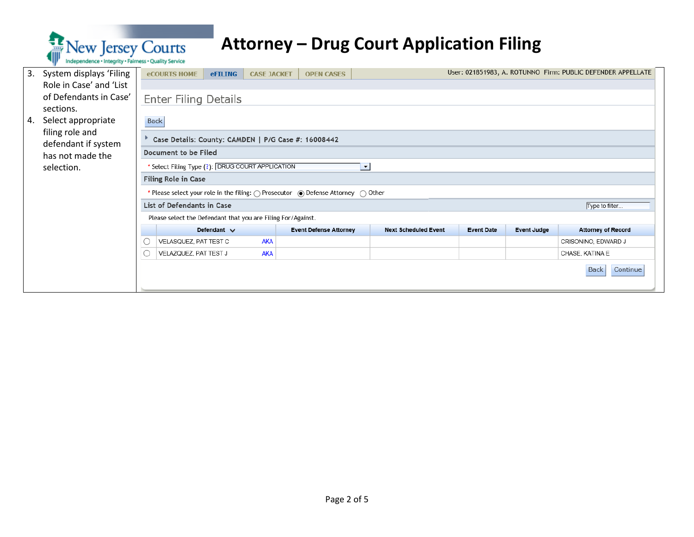

| 3. | System displays 'Filing                |             | <b>eCOURTS HOME</b>                                          | <b>eFILING</b>   | <b>CASE JACKET</b> | <b>OPEN CASES</b>                                                                                          |                             |                   |                    | User: 021851983, A. ROTUNNO Firm: PUBLIC DEFENDER APPELLATE |
|----|----------------------------------------|-------------|--------------------------------------------------------------|------------------|--------------------|------------------------------------------------------------------------------------------------------------|-----------------------------|-------------------|--------------------|-------------------------------------------------------------|
|    | Role in Case' and 'List                |             |                                                              |                  |                    |                                                                                                            |                             |                   |                    |                                                             |
|    | of Defendants in Case'                 |             | <b>Enter Filing Details</b>                                  |                  |                    |                                                                                                            |                             |                   |                    |                                                             |
|    | sections.                              |             |                                                              |                  |                    |                                                                                                            |                             |                   |                    |                                                             |
| 4. | Select appropriate                     | <b>Back</b> |                                                              |                  |                    |                                                                                                            |                             |                   |                    |                                                             |
|    | filing role and<br>defendant if system |             |                                                              |                  |                    | Case Details: County: CAMDEN   P/G Case #: 16008442                                                        |                             |                   |                    |                                                             |
|    | has not made the                       |             | Document to be Filed                                         |                  |                    |                                                                                                            |                             |                   |                    |                                                             |
|    | selection.                             |             | * Select Filing Type (?): DRUG COURT APPLICATION             |                  |                    |                                                                                                            | $\blacktriangledown$        |                   |                    |                                                             |
|    |                                        |             | Filing Role in Case                                          |                  |                    |                                                                                                            |                             |                   |                    |                                                             |
|    |                                        |             |                                                              |                  |                    | * Please select your role in the filing: $\bigcap$ Prosecutor $\bigcirc$ Defense Attorney $\bigcirc$ Other |                             |                   |                    |                                                             |
|    |                                        |             | List of Defendants in Case                                   |                  |                    |                                                                                                            |                             |                   |                    | Type to filter                                              |
|    |                                        |             | Please select the Defendant that you are Filing For/Against. |                  |                    |                                                                                                            |                             |                   |                    |                                                             |
|    |                                        |             |                                                              | Defendant $\vee$ |                    | <b>Event Defense Attorney</b>                                                                              | <b>Next Scheduled Event</b> | <b>Event Date</b> | <b>Event Judge</b> | <b>Attorney of Record</b>                                   |
|    |                                        |             | VELASQUEZ, PAT TEST C                                        |                  | <b>AKA</b>         |                                                                                                            |                             |                   |                    | CRISONINO, EDWARD J                                         |
|    |                                        | C           | VELAZQUEZ, PAT TEST J                                        |                  | AKA                |                                                                                                            |                             |                   |                    | CHASE, KATINA E                                             |
|    |                                        |             |                                                              |                  |                    |                                                                                                            |                             |                   |                    | Continue<br><b>Back</b>                                     |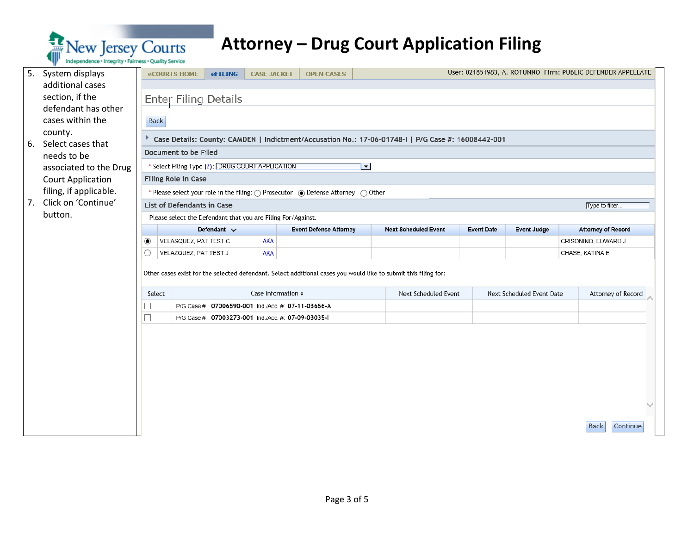

| 5. | System displays<br>additional cases    |                                                                              | <b>eCOURTS HOME</b>                                          | <b>eFILING</b>   | <b>CASE JACKET</b>      | <b>OPEN CASES</b>                                                                                               |  |                                                                                                    |                   |                           |  | User: 021851983, A. ROTUNNO Firm: PUBLIC DEFENDER APPELLATE |  |
|----|----------------------------------------|------------------------------------------------------------------------------|--------------------------------------------------------------|------------------|-------------------------|-----------------------------------------------------------------------------------------------------------------|--|----------------------------------------------------------------------------------------------------|-------------------|---------------------------|--|-------------------------------------------------------------|--|
|    | section, if the<br>defendant has other |                                                                              | <b>Enter Filing Details</b>                                  |                  |                         |                                                                                                                 |  |                                                                                                    |                   |                           |  |                                                             |  |
|    | cases within the                       | <b>Back</b>                                                                  |                                                              |                  |                         |                                                                                                                 |  |                                                                                                    |                   |                           |  |                                                             |  |
| 6. | county.<br>Select cases that           |                                                                              |                                                              |                  |                         |                                                                                                                 |  | Case Details: County: CAMDEN   Indictment/Accusation No.: 17-06-01748-1   P/G Case #: 16008442-001 |                   |                           |  |                                                             |  |
|    | needs to be                            |                                                                              | Document to be Filed                                         |                  |                         |                                                                                                                 |  |                                                                                                    |                   |                           |  |                                                             |  |
|    | associated to the Drug                 | * Select Filing Type (?): DRUG COURT APPLICATION<br>$\overline{\phantom{a}}$ |                                                              |                  |                         |                                                                                                                 |  |                                                                                                    |                   |                           |  |                                                             |  |
|    | <b>Court Application</b>               |                                                                              | Filing Role in Case                                          |                  |                         |                                                                                                                 |  |                                                                                                    |                   |                           |  |                                                             |  |
|    | filing, if applicable.                 |                                                                              |                                                              |                  |                         | * Please select your role in the filing: ( ) Prosecutor ( ) Defense Attorney ( ) Other                          |  |                                                                                                    |                   |                           |  |                                                             |  |
| 7. | Click on 'Continue'<br>button.         |                                                                              | List of Defendants in Case                                   |                  |                         |                                                                                                                 |  |                                                                                                    |                   |                           |  | Type to filter                                              |  |
|    |                                        |                                                                              | Please select the Defendant that you are Filing For/Against. | Defendant $\vee$ |                         | <b>Event Defense Attorney</b>                                                                                   |  | <b>Next Scheduled Event</b>                                                                        | <b>Event Date</b> | <b>Event Judge</b>        |  | <b>Attorney of Record</b>                                   |  |
|    |                                        | ◉                                                                            | VELASQUEZ, PAT TEST C                                        |                  | <b>AKA</b>              |                                                                                                                 |  |                                                                                                    |                   |                           |  | CRISONINO, EDWARD J                                         |  |
|    |                                        |                                                                              | VELAZQUEZ, PAT TEST J                                        |                  | <b>AKA</b>              |                                                                                                                 |  |                                                                                                    |                   |                           |  | CHASE, KATINA E                                             |  |
|    |                                        |                                                                              |                                                              |                  |                         | Other cases exist for the selected defendant. Select additional cases you would like to submit this filing for: |  |                                                                                                    |                   |                           |  |                                                             |  |
|    |                                        | Select                                                                       |                                                              |                  | Case Information $\div$ |                                                                                                                 |  | <b>Next Scheduled Event</b>                                                                        |                   | Next Scheduled Event Date |  | Attorney of Record                                          |  |
|    |                                        |                                                                              |                                                              |                  |                         | P/G Case #: 07006590-001 Ind./Acc. #: 07-11-03656-A                                                             |  |                                                                                                    |                   |                           |  |                                                             |  |
|    |                                        |                                                                              |                                                              |                  |                         | P/G Case #: 07003273-001 Ind./Acc. #: 07-09-03035-1                                                             |  |                                                                                                    |                   |                           |  |                                                             |  |
|    |                                        |                                                                              |                                                              |                  |                         |                                                                                                                 |  |                                                                                                    |                   |                           |  |                                                             |  |
|    |                                        |                                                                              |                                                              |                  |                         |                                                                                                                 |  |                                                                                                    |                   |                           |  | <b>Back</b><br>Continue                                     |  |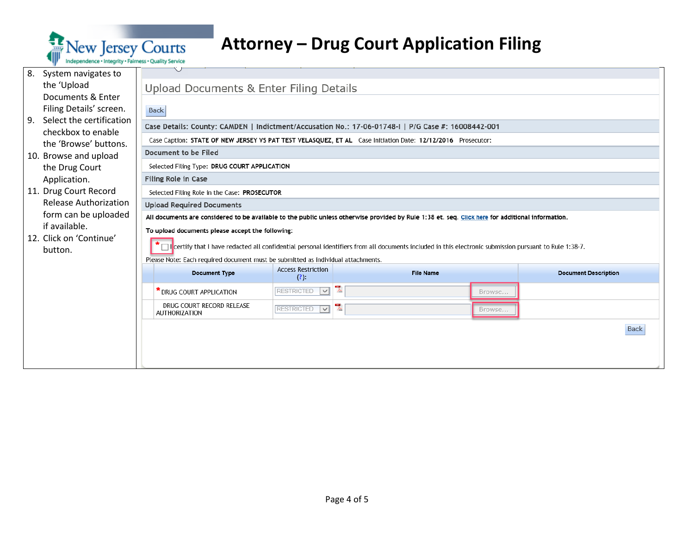

| 8.<br>System navigates to      |                                                                                  |                                              |                                                                                                                                                                       |        |                             |
|--------------------------------|----------------------------------------------------------------------------------|----------------------------------------------|-----------------------------------------------------------------------------------------------------------------------------------------------------------------------|--------|-----------------------------|
| the 'Upload                    | Upload Documents & Enter Filing Details                                          |                                              |                                                                                                                                                                       |        |                             |
| Documents & Enter              |                                                                                  |                                              |                                                                                                                                                                       |        |                             |
| Filing Details' screen.        | <b>Back</b>                                                                      |                                              |                                                                                                                                                                       |        |                             |
| Select the certification<br>9. |                                                                                  |                                              | Case Details: County: CAMDEN   Indictment/Accusation No.: 17-06-01748-I   P/G Case #: 16008442-001                                                                    |        |                             |
| checkbox to enable             |                                                                                  |                                              | Case Caption: STATE OF NEW JERSEY VS PAT TEST VELASQUEZ, ET AL Case Initiation Date: 12/12/2016 Prosecutor:                                                           |        |                             |
| the 'Browse' buttons.          | Document to be Filed                                                             |                                              |                                                                                                                                                                       |        |                             |
| 10. Browse and upload          | Selected Filing Type: DRUG COURT APPLICATION                                     |                                              |                                                                                                                                                                       |        |                             |
| the Drug Court<br>Application. | <b>Filing Role in Case</b>                                                       |                                              |                                                                                                                                                                       |        |                             |
| 11. Drug Court Record          | Selected Filing Role in the Case: PROSECUTOR                                     |                                              |                                                                                                                                                                       |        |                             |
| <b>Release Authorization</b>   | <b>Upload Required Documents</b>                                                 |                                              |                                                                                                                                                                       |        |                             |
| form can be uploaded           |                                                                                  |                                              | All documents are considered to be available to the public unless otherwise provided by Rule 1:38 et. seq. Click here for additional information.                     |        |                             |
| if available.                  | To upload documents please accept the following:                                 |                                              |                                                                                                                                                                       |        |                             |
| 12. Click on 'Continue'        |                                                                                  |                                              |                                                                                                                                                                       |        |                             |
| button.                        |                                                                                  |                                              | $\star$ $\Box$ leertify that I have redacted all confidential personal identifiers from all documents included in this electronic submission pursuant to Rule 1:38-7. |        |                             |
|                                | Please Note: Each required document must be submitted as individual attachments. |                                              |                                                                                                                                                                       |        |                             |
|                                | <b>Document Type</b>                                                             | <b>Access Restriction</b><br>(?):            | <b>File Name</b>                                                                                                                                                      |        | <b>Document Description</b> |
|                                | * DRUG COURT APPLICATION                                                         | $\overline{\mathbf{v}}$<br><b>RESTRICTED</b> | 뭿                                                                                                                                                                     | Browse |                             |
|                                | DRUG COURT RECORD RELEASE<br><b>AUTHORIZATION</b>                                | <b>RESTRICTED</b><br>$\overline{ \vee }$     | 킻                                                                                                                                                                     | Browse |                             |
|                                |                                                                                  |                                              |                                                                                                                                                                       |        | <b>Back</b>                 |
|                                |                                                                                  |                                              |                                                                                                                                                                       |        |                             |
|                                |                                                                                  |                                              |                                                                                                                                                                       |        |                             |
|                                |                                                                                  |                                              |                                                                                                                                                                       |        |                             |